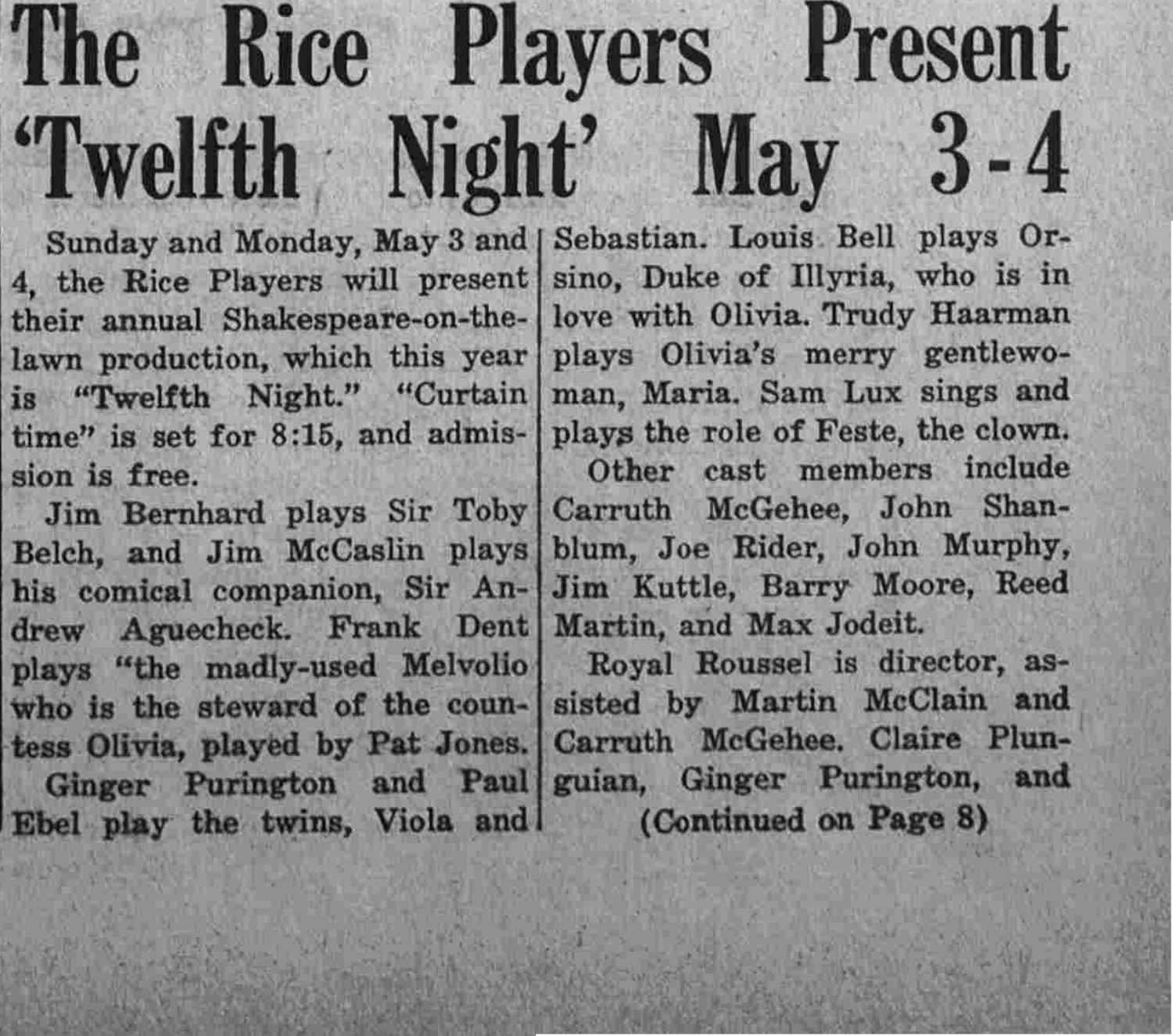## The Rice Players Present 'Twelfth Night' May 3-4

4, the Rice Players will present sino. Duke of Illyria, who is in their annual Shakespeare-on-the- love with Olivia, Trudy Haarman lawn production, which this year plays Olivia's merry gentlewois "Twelfth Night." "Curtain man, Maria. Sam Lux sings and time" is set for 8:15, and admis- plays the role of Feste, the clown. sion is free.

Belch, and Jim McCaslin plays blum, Joe Rider, John Murphy, his comical companion, Sir An- Jim Kuttle, Barry Moore, Reed drew Aguecheck. Frank Dent Martin, and Max Jodeit. plays "the madly-used Melvolio Royal Roussel is director, aswho is the steward of the coun- sisted by Martin McClain and tess Olivia, played by Pat Jones. Carruth McGehee. Claire Plun-Ginger Purington and Paul guian, Ginger Purington, and Ebel play the twins, Viola and (Continued on Page 8)

Sunday and Monday, May 3 and | Sebastian. Louis Bell plays Or-

Other cast members include Jim Bernhard plays Sir Toby Carruth McGehee, John Shan-